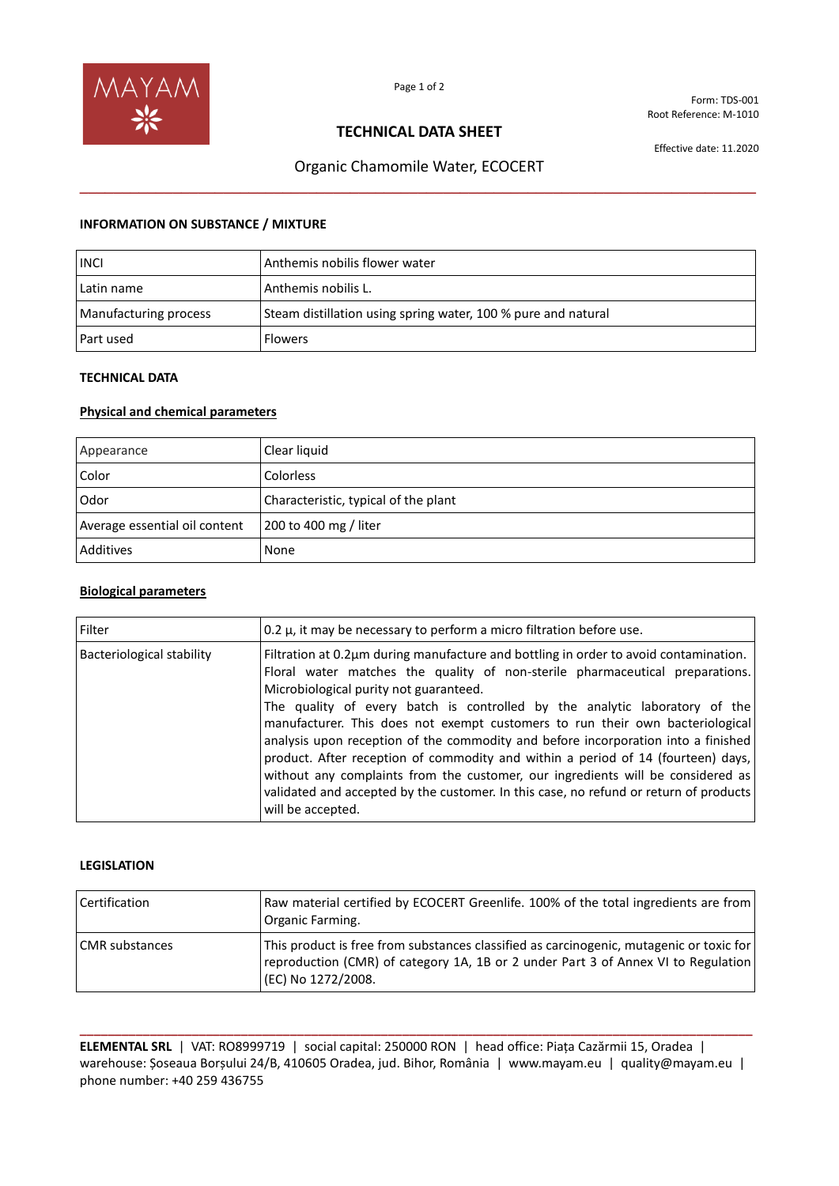

Form: TDS-001 Root Reference: M-1010

## **TECHNICAL DATA SHEET**

Effective date: 11.2020

# Organic Chamomile Water, ECOCERT **\_\_\_\_\_\_\_\_\_\_\_\_\_\_\_\_\_\_\_\_\_\_\_\_\_\_\_\_\_\_\_\_\_\_\_\_\_\_\_\_\_\_\_\_\_\_\_\_\_\_\_\_\_\_\_\_\_\_\_\_\_\_\_\_\_\_\_\_\_\_\_\_\_\_\_\_\_\_\_\_**

## **INFORMATION ON SUBSTANCE / MIXTURE**

| <b>INCI</b>           | Anthemis nobilis flower water                                 |
|-----------------------|---------------------------------------------------------------|
| Latin name            | Anthemis nobilis L.                                           |
| Manufacturing process | Steam distillation using spring water, 100 % pure and natural |
| l Part used           | <b>Flowers</b>                                                |

## **TECHNICAL DATA**

## **Physical and chemical parameters**

| Appearance                    | Clear liquid                         |
|-------------------------------|--------------------------------------|
| Color                         | Colorless                            |
| Odor                          | Characteristic, typical of the plant |
| Average essential oil content | 200 to 400 mg / liter                |
| Additives                     | None                                 |

## **Biological parameters**

| Filter                    | 0.2 $\mu$ , it may be necessary to perform a micro filtration before use.                                                                                                                                                                                                                                                                                                                                                                                                                                                                                                                                                                                                                                                                               |
|---------------------------|---------------------------------------------------------------------------------------------------------------------------------------------------------------------------------------------------------------------------------------------------------------------------------------------------------------------------------------------------------------------------------------------------------------------------------------------------------------------------------------------------------------------------------------------------------------------------------------------------------------------------------------------------------------------------------------------------------------------------------------------------------|
| Bacteriological stability | Filtration at 0.2µm during manufacture and bottling in order to avoid contamination.<br>Floral water matches the quality of non-sterile pharmaceutical preparations.<br>Microbiological purity not guaranteed.<br>The quality of every batch is controlled by the analytic laboratory of the<br>manufacturer. This does not exempt customers to run their own bacteriological<br>analysis upon reception of the commodity and before incorporation into a finished<br>product. After reception of commodity and within a period of 14 (fourteen) days,<br>without any complaints from the customer, our ingredients will be considered as<br>validated and accepted by the customer. In this case, no refund or return of products<br>will be accepted. |

#### **LEGISLATION**

| Certification         | Raw material certified by ECOCERT Greenlife. 100% of the total ingredients are from<br>Organic Farming.                                                                                            |
|-----------------------|----------------------------------------------------------------------------------------------------------------------------------------------------------------------------------------------------|
| <b>CMR</b> substances | This product is free from substances classified as carcinogenic, mutagenic or toxic for<br>reproduction (CMR) of category 1A, 1B or 2 under Part 3 of Annex VI to Regulation<br>(EC) No 1272/2008. |

**\_\_\_\_\_\_\_\_\_\_\_\_\_\_\_\_\_\_\_\_\_\_\_\_\_\_\_\_\_\_\_\_\_\_\_\_\_\_\_\_\_\_\_\_\_\_\_\_\_\_\_\_\_\_\_\_\_\_\_\_\_\_\_\_\_\_\_\_\_\_\_\_\_\_\_\_\_\_\_\_\_\_\_\_\_\_\_\_\_\_\_\_\_\_\_\_ ELEMENTAL SRL** | VAT: RO8999719 | social capital: 250000 RON | head office: Piața Cazărmii 15, Oradea | warehouse: Șoseaua Borșului 24/B, 410605 Oradea, jud. Bihor, România | www.mayam.eu | quality@mayam.eu | phone number: +40 259 436755